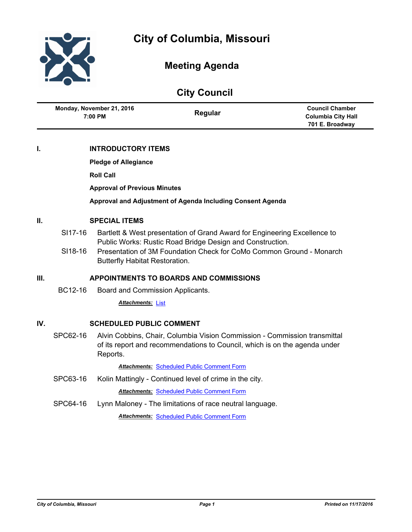

# **Meeting Agenda**

| <b>City Council</b>                    |         |                                                     |  |  |
|----------------------------------------|---------|-----------------------------------------------------|--|--|
| Monday, November 21, 2016<br>$7:00$ PM | Regular | <b>Council Chamber</b><br><b>Columbia City Hall</b> |  |  |
|                                        |         | 701 E. Broadway                                     |  |  |

## **I. INTRODUCTORY ITEMS**

**Pledge of Allegiance**

**Roll Call**

**Approval of Previous Minutes**

**Approval and Adjustment of Agenda Including Consent Agenda**

### **II. SPECIAL ITEMS**

- SI17-16 Bartlett & West presentation of Grand Award for Engineering Excellence to Public Works: Rustic Road Bridge Design and Construction.
- SI18-16 Presentation of 3M Foundation Check for CoMo Common Ground Monarch Butterfly Habitat Restoration.

### **III. APPOINTMENTS TO BOARDS AND COMMISSIONS**

BC12-16 Board and Commission Applicants.

*Attachments:* [List](http://gocolumbiamo.legistar.com/gateway.aspx?M=F&ID=a0d66739-a3b7-4de1-b19d-6bc66dfbb4bd.pdf)

### **IV. SCHEDULED PUBLIC COMMENT**

SPC62-16 Alvin Cobbins, Chair, Columbia Vision Commission - Commission transmittal of its report and recommendations to Council, which is on the agenda under Reports.

*Attachments:* [Scheduled Public Comment Form](http://gocolumbiamo.legistar.com/gateway.aspx?M=F&ID=a3426bbd-1a7f-4b82-8015-bddaab3b487a.pdf)

SPC63-16 Kolin Mattingly - Continued level of crime in the city.

*Attachments:* [Scheduled Public Comment Form](http://gocolumbiamo.legistar.com/gateway.aspx?M=F&ID=ed2d00c4-6e19-4108-9667-447d554e346a.pdf)

SPC64-16 Lynn Maloney - The limitations of race neutral language.

*Attachments:* [Scheduled Public Comment Form](http://gocolumbiamo.legistar.com/gateway.aspx?M=F&ID=209f69f5-5916-492e-b962-3349d1dcdcfc.pdf)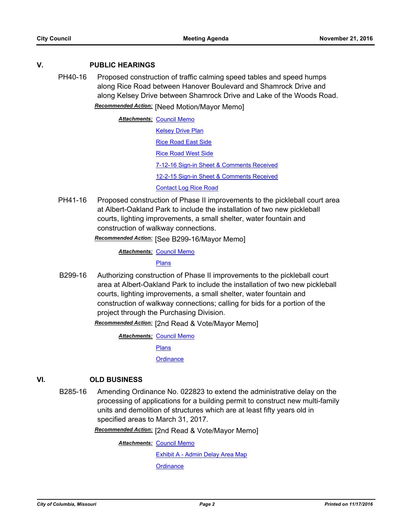#### **V. PUBLIC HEARINGS**

PH40-16 Proposed construction of traffic calming speed tables and speed humps along Rice Road between Hanover Boulevard and Shamrock Drive and along Kelsey Drive between Shamrock Drive and Lake of the Woods Road. *Recommended Action:* [Need Motion/Mayor Memo]

> **Attachments: [Council Memo](http://gocolumbiamo.legistar.com/gateway.aspx?M=F&ID=86bfe5eb-8ada-475f-a01e-2a37e7614758.docx) [Kelsey Drive Plan](http://gocolumbiamo.legistar.com/gateway.aspx?M=F&ID=d7726225-2d5f-4c5f-9c4f-b97df502142f.pdf)** [Rice Road East Side](http://gocolumbiamo.legistar.com/gateway.aspx?M=F&ID=98c5bad4-a7e5-4e85-b292-3810cb57bc1c.pdf) [Rice Road West Side](http://gocolumbiamo.legistar.com/gateway.aspx?M=F&ID=6818d456-17fe-417d-a885-399cd68a2fbc.pdf) [7-12-16 Sign-in Sheet & Comments Received](http://gocolumbiamo.legistar.com/gateway.aspx?M=F&ID=2614272d-034a-47c9-ac30-9b4864260d46.pdf) [12-2-15 Sign-in Sheet & Comments Received](http://gocolumbiamo.legistar.com/gateway.aspx?M=F&ID=d5f1fe99-6074-475f-b75d-265c4cd1abe5.pdf) [Contact Log Rice Road](http://gocolumbiamo.legistar.com/gateway.aspx?M=F&ID=3a44417e-ab16-4296-bd9b-71d7fb1b6cac.pdf)

PH41-16 Proposed construction of Phase II improvements to the pickleball court area at Albert-Oakland Park to include the installation of two new pickleball courts, lighting improvements, a small shelter, water fountain and construction of walkway connections.

*Recommended Action:* [See B299-16/Mayor Memo]

**Attachments: [Council Memo](http://gocolumbiamo.legistar.com/gateway.aspx?M=F&ID=05c32eec-2ad2-4135-9dc1-ae1b9d2a0aae.docx)** 

**[Plans](http://gocolumbiamo.legistar.com/gateway.aspx?M=F&ID=c5ab5bfa-9f44-4b26-a1e6-ecdb60678299.pdf)** 

B299-16 Authorizing construction of Phase II improvements to the pickleball court area at Albert-Oakland Park to include the installation of two new pickleball courts, lighting improvements, a small shelter, water fountain and construction of walkway connections; calling for bids for a portion of the project through the Purchasing Division.

*Recommended Action:* [2nd Read & Vote/Mayor Memo]

**Attachments: [Council Memo](http://gocolumbiamo.legistar.com/gateway.aspx?M=F&ID=cbac770b-7d11-4c5f-9f75-ff06af0bfcac.docx)** 

[Plans](http://gocolumbiamo.legistar.com/gateway.aspx?M=F&ID=7760d4c5-d033-4943-bf28-c0bdb4680eaa.pdf)

**[Ordinance](http://gocolumbiamo.legistar.com/gateway.aspx?M=F&ID=83f6f572-549a-4e00-8857-41cf7195558b.doc)** 

### **VI. OLD BUSINESS**

B285-16 Amending Ordinance No. 022823 to extend the administrative delay on the processing of applications for a building permit to construct new multi-family units and demolition of structures which are at least fifty years old in specified areas to March 31, 2017.

*Recommended Action:* [2nd Read & Vote/Mayor Memo]

**Attachments: [Council Memo](http://gocolumbiamo.legistar.com/gateway.aspx?M=F&ID=cc52df30-aebf-4de4-871a-7a5b716891f6.docx)** [Exhibit A - Admin Delay Area Map](http://gocolumbiamo.legistar.com/gateway.aspx?M=F&ID=5ddd1d4e-9128-4a5e-9eab-af4ffaef9f17.pdf) **[Ordinance](http://gocolumbiamo.legistar.com/gateway.aspx?M=F&ID=5e01f11e-ebde-4571-a9e1-7e426b515bdc.doc)**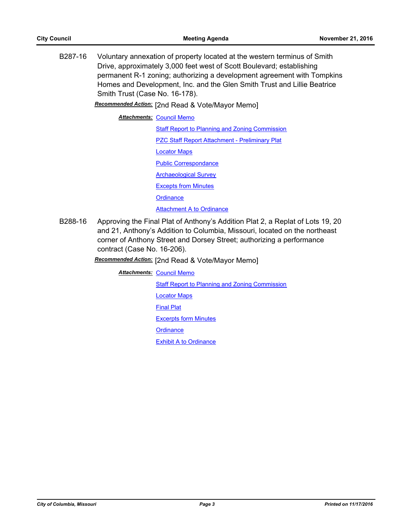B287-16 Voluntary annexation of property located at the western terminus of Smith Drive, approximately 3,000 feet west of Scott Boulevard; establishing permanent R-1 zoning; authorizing a development agreement with Tompkins Homes and Development, Inc. and the Glen Smith Trust and Lillie Beatrice Smith Trust (Case No. 16-178).

*Recommended Action:* [2nd Read & Vote/Mayor Memo]

**Attachments: [Council Memo](http://gocolumbiamo.legistar.com/gateway.aspx?M=F&ID=76ff4c77-5782-49db-91ca-53e2e8066145.docx)** 

[Staff Report to Planning and Zoning Commission](http://gocolumbiamo.legistar.com/gateway.aspx?M=F&ID=007c1cbc-1c23-4e63-8a86-cfcdc0d0a5bf.pdf) [PZC Staff Report Attachment - Preliminary Plat](http://gocolumbiamo.legistar.com/gateway.aspx?M=F&ID=190fd238-22d5-4a85-b42a-f86c940cad5a.pdf) [Locator Maps](http://gocolumbiamo.legistar.com/gateway.aspx?M=F&ID=4c1ae524-d9e1-49ad-bd3d-8ffb1e297d46.pdf) [Public Correspondance](http://gocolumbiamo.legistar.com/gateway.aspx?M=F&ID=a614b5e6-0e02-4ba4-bcb5-ab3700ddbbaf.pdf) [Archaeological Survey](http://gocolumbiamo.legistar.com/gateway.aspx?M=F&ID=212777a7-2cd3-49c5-8f91-b5693a3741dc.pdf) [Excepts from Minutes](http://gocolumbiamo.legistar.com/gateway.aspx?M=F&ID=44ccb9d9-43b7-4744-a504-f5f67b658bfc.docx) **[Ordinance](http://gocolumbiamo.legistar.com/gateway.aspx?M=F&ID=595dc257-7516-41b5-aa69-43f7fc2cb019.doc)** [Attachment A to Ordinance](http://gocolumbiamo.legistar.com/gateway.aspx?M=F&ID=397eb512-dd4d-44ee-8843-f6ea23db7fd5.pdf)

B288-16 Approving the Final Plat of Anthony's Addition Plat 2, a Replat of Lots 19, 20 and 21, Anthony's Addition to Columbia, Missouri, located on the northeast corner of Anthony Street and Dorsey Street; authorizing a performance contract (Case No. 16-206).

## *Recommended Action:* [2nd Read & Vote/Mayor Memo]

**Attachments: [Council Memo](http://gocolumbiamo.legistar.com/gateway.aspx?M=F&ID=7dcbc208-2595-4e9e-9685-fc3ccc95e4a8.docx)** 

[Staff Report to Planning and Zoning Commission](http://gocolumbiamo.legistar.com/gateway.aspx?M=F&ID=26ababe2-0e4c-4299-9c96-f8de820b5d18.pdf)

[Locator Maps](http://gocolumbiamo.legistar.com/gateway.aspx?M=F&ID=2e8d6b71-54d5-45b8-a3e8-22434521e4da.pdf)

[Final Plat](http://gocolumbiamo.legistar.com/gateway.aspx?M=F&ID=2205f9c6-0a82-4878-a25b-18dd95b739b9.pdf)

[Excerpts form Minutes](http://gocolumbiamo.legistar.com/gateway.aspx?M=F&ID=3430c263-40c9-488d-a549-92081c812b53.docx)

**[Ordinance](http://gocolumbiamo.legistar.com/gateway.aspx?M=F&ID=c4c12f8c-1617-4f0c-bdb2-3bd0708f9ad4.doc)**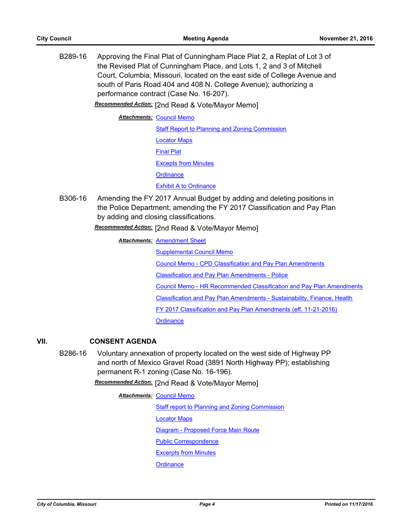B289-16 Approving the Final Plat of Cunningham Place Plat 2, a Replat of Lot 3 of the Revised Plat of Cunningham Place, and Lots 1, 2 and 3 of Mitchell Court, Columbia, Missouri, located on the east side of College Avenue and south of Paris Road 404 and 408 N. College Avenue); authorizing a performance contract (Case No. 16-207).

*Recommended Action:* [2nd Read & Vote/Mayor Memo]

**Attachments: [Council Memo](http://gocolumbiamo.legistar.com/gateway.aspx?M=F&ID=1aecd4f3-34fb-4680-b69a-f5d91d07e21f.docx)** 

[Staff Report to Planning and Zoning Commission](http://gocolumbiamo.legistar.com/gateway.aspx?M=F&ID=7b509674-e75e-48ec-8db6-14f4d4c55a5e.pdf) [Locator Maps](http://gocolumbiamo.legistar.com/gateway.aspx?M=F&ID=767eb26f-bc5b-4f8d-8458-82d4c9bd37ec.pdf) [Final Plat](http://gocolumbiamo.legistar.com/gateway.aspx?M=F&ID=9ac94ab5-48fd-4bf3-a8fc-baaea716b027.pdf) [Excepts from Minutes](http://gocolumbiamo.legistar.com/gateway.aspx?M=F&ID=8f059625-f64f-4565-9f49-17379fbab735.docx) **[Ordinance](http://gocolumbiamo.legistar.com/gateway.aspx?M=F&ID=40bb7d41-4dc9-4ad1-b6dd-4f3f60e2efe6.doc)** [Exhibit A to Ordinance](http://gocolumbiamo.legistar.com/gateway.aspx?M=F&ID=b42eed7d-be51-44fc-b918-2bb8bfe379c5.pdf)

B306-16 Amending the FY 2017 Annual Budget by adding and deleting positions in the Police Department; amending the FY 2017 Classification and Pay Plan by adding and closing classifications.

*Recommended Action:* [2nd Read & Vote/Mayor Memo]

**Attachments: [Amendment Sheet](http://gocolumbiamo.legistar.com/gateway.aspx?M=F&ID=e7a98c1d-dafe-4207-84c0-6ae2f196b73a.doc)** 

[Supplemental Council Memo](http://gocolumbiamo.legistar.com/gateway.aspx?M=F&ID=eb62f1c7-14eb-4444-961a-764dee70ffdd.docx)

[Council Memo - CPD Classification and Pay Plan Amendments](http://gocolumbiamo.legistar.com/gateway.aspx?M=F&ID=07eda2e1-601a-4af8-a807-d4237a7af6d7.docx)

[Classification and Pay Plan Amendments - Police](http://gocolumbiamo.legistar.com/gateway.aspx?M=F&ID=bc4390ad-2950-41d9-9328-9e47f9e6adf5.doc)

[Council Memo - HR Recommended Classification and Pay Plan Amendments](http://gocolumbiamo.legistar.com/gateway.aspx?M=F&ID=31a7dd45-2e86-4e8f-a95f-f278e9b5a687.docx)

[Classification and Pay Plan Amendments - Sustainability, Finance, Health](http://gocolumbiamo.legistar.com/gateway.aspx?M=F&ID=4150dc08-b0ef-4ce4-8154-b7b6a01142bf.doc)

[FY 2017 Classification and Pay Plan Amendments \(eff. 11-21-2016\)](http://gocolumbiamo.legistar.com/gateway.aspx?M=F&ID=787b96c7-a91c-432f-bbe6-2a1ed69412d1.pdf)

**[Ordinance](http://gocolumbiamo.legistar.com/gateway.aspx?M=F&ID=d7034162-8a03-43e0-a9c9-6acdb692c441.doc)** 

### **VII. CONSENT AGENDA**

B286-16 Voluntary annexation of property located on the west side of Highway PP and north of Mexico Gravel Road (3891 North Highway PP); establishing permanent R-1 zoning (Case No. 16-196).

*Recommended Action:* [2nd Read & Vote/Mayor Memo]

**Attachments: [Council Memo](http://gocolumbiamo.legistar.com/gateway.aspx?M=F&ID=79f1f657-032c-4da1-ba03-5ff83c1dc343.docx)** [Staff report to Planning and Zoning Commission](http://gocolumbiamo.legistar.com/gateway.aspx?M=F&ID=a0749aea-5483-4c29-a699-00c5db7616d5.pdf) [Locator Maps](http://gocolumbiamo.legistar.com/gateway.aspx?M=F&ID=75db1b66-38c6-4b0b-a315-3e036f398b78.pdf) [Diagram - Proposed Force Main Route](http://gocolumbiamo.legistar.com/gateway.aspx?M=F&ID=88feb5bf-3a49-42a2-9395-f307fb61688c.pdf) [Public Correspondence](http://gocolumbiamo.legistar.com/gateway.aspx?M=F&ID=1c9ff4a3-9ed7-4364-8259-10b3b86b1b5d.pdf) [Excerpts from Minutes](http://gocolumbiamo.legistar.com/gateway.aspx?M=F&ID=ebeee7e2-adf1-4b60-934d-7c5d6a5c2ae5.docx) **[Ordinance](http://gocolumbiamo.legistar.com/gateway.aspx?M=F&ID=d4643d12-238a-439c-b8c4-519a7dc11988.doc)**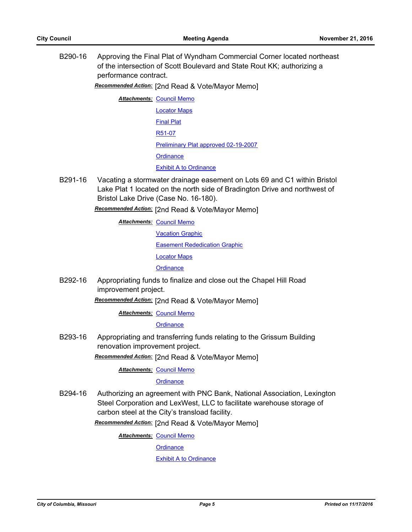B290-16 Approving the Final Plat of Wyndham Commercial Corner located northeast of the intersection of Scott Boulevard and State Rout KK; authorizing a performance contract.

*Recommended Action:* [2nd Read & Vote/Mayor Memo]

**Attachments: [Council Memo](http://gocolumbiamo.legistar.com/gateway.aspx?M=F&ID=acfb0c5f-bb5c-4c98-bb33-808e5c3f7bb9.docx)** [Locator Maps](http://gocolumbiamo.legistar.com/gateway.aspx?M=F&ID=677e0361-fba6-410e-a191-89e476f1aa7e.pdf) [Final Plat](http://gocolumbiamo.legistar.com/gateway.aspx?M=F&ID=76ad7b4f-0eef-4218-9faf-980d459dcf6a.pdf) [R51-07](http://gocolumbiamo.legistar.com/gateway.aspx?M=F&ID=1b792504-1bd1-4ef6-8a12-6d4841a002d7.pdf) [Preliminary Plat approved 02-19-2007](http://gocolumbiamo.legistar.com/gateway.aspx?M=F&ID=74b1ebd3-ad31-4aeb-bb0f-767e3f743f97.pdf) **[Ordinance](http://gocolumbiamo.legistar.com/gateway.aspx?M=F&ID=82be7379-55a7-4c36-ae49-1f1ebb594ff4.doc)** [Exhibit A to Ordinance](http://gocolumbiamo.legistar.com/gateway.aspx?M=F&ID=29fdbf82-d0e1-4384-8b50-6aa717f1ea87.pdf)

B291-16 Vacating a stormwater drainage easement on Lots 69 and C1 within Bristol Lake Plat 1 located on the north side of Bradington Drive and northwest of Bristol Lake Drive (Case No. 16-180).

*Recommended Action:* [2nd Read & Vote/Mayor Memo]

**Attachments: [Council Memo](http://gocolumbiamo.legistar.com/gateway.aspx?M=F&ID=171e0467-451a-45ec-a9f3-74ed10b1e704.docx)** 

[Vacation Graphic](http://gocolumbiamo.legistar.com/gateway.aspx?M=F&ID=9937f80b-0243-42ea-8b8c-96f19dca95ee.pdf)

[Easement Rededication Graphic](http://gocolumbiamo.legistar.com/gateway.aspx?M=F&ID=04a7c8c3-0aac-43d1-b13f-abad5ea648be.pdf)

[Locator Maps](http://gocolumbiamo.legistar.com/gateway.aspx?M=F&ID=be302c56-0cce-41b4-af19-31a6d81aceb0.pdf)

**[Ordinance](http://gocolumbiamo.legistar.com/gateway.aspx?M=F&ID=35dbfe84-8cb0-4797-840b-1aee41fc57bd.doc)** 

B292-16 Appropriating funds to finalize and close out the Chapel Hill Road improvement project.

*Recommended Action:* [2nd Read & Vote/Mayor Memo]

**Attachments: [Council Memo](http://gocolumbiamo.legistar.com/gateway.aspx?M=F&ID=af0c4ade-ab52-4591-a15c-837828a227c9.docx)** 

**[Ordinance](http://gocolumbiamo.legistar.com/gateway.aspx?M=F&ID=cc89ba5d-72c5-49db-8934-4f9e9c33541c.doc)** 

B293-16 Appropriating and transferring funds relating to the Grissum Building renovation improvement project.

*Recommended Action:* [2nd Read & Vote/Mayor Memo]

**Attachments: [Council Memo](http://gocolumbiamo.legistar.com/gateway.aspx?M=F&ID=daa31df5-440f-4959-9fad-080fcee12ac3.docx)** 

**[Ordinance](http://gocolumbiamo.legistar.com/gateway.aspx?M=F&ID=9dcc4639-ffc7-41ba-b189-c5bc291991e9.doc)** 

B294-16 Authorizing an agreement with PNC Bank, National Association, Lexington Steel Corporation and LexWest, LLC to facilitate warehouse storage of carbon steel at the City's transload facility.

*Recommended Action:* [2nd Read & Vote/Mayor Memo]

**Attachments: [Council Memo](http://gocolumbiamo.legistar.com/gateway.aspx?M=F&ID=bbee6847-6e3d-4abc-80a6-a7bbbe4a1063.docx)** 

**[Ordinance](http://gocolumbiamo.legistar.com/gateway.aspx?M=F&ID=5a280f2c-9147-4bef-ab21-c8bee45dae55.doc)**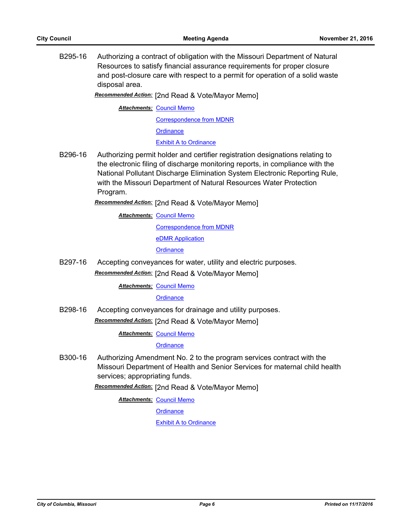B295-16 Authorizing a contract of obligation with the Missouri Department of Natural Resources to satisfy financial assurance requirements for proper closure and post-closure care with respect to a permit for operation of a solid waste disposal area.

*Recommended Action:* [2nd Read & Vote/Mayor Memo]

**Attachments: [Council Memo](http://gocolumbiamo.legistar.com/gateway.aspx?M=F&ID=b13da7fc-e15d-45ae-9440-5b4c79eca195.docx)** 

[Correspondence from MDNR](http://gocolumbiamo.legistar.com/gateway.aspx?M=F&ID=3ee8e934-8d89-4954-a238-96d8af158886.pdf) **[Ordinance](http://gocolumbiamo.legistar.com/gateway.aspx?M=F&ID=23145d77-8375-4354-b7ab-8d072745a46a.doc)** 

[Exhibit A to Ordinance](http://gocolumbiamo.legistar.com/gateway.aspx?M=F&ID=fe15ced6-4c91-43e9-8b71-c9ba2348a995.doc)

B296-16 Authorizing permit holder and certifier registration designations relating to the electronic filing of discharge monitoring reports, in compliance with the National Pollutant Discharge Elimination System Electronic Reporting Rule, with the Missouri Department of Natural Resources Water Protection Program.

*Recommended Action:* [2nd Read & Vote/Mayor Memo]

**Attachments: [Council Memo](http://gocolumbiamo.legistar.com/gateway.aspx?M=F&ID=35bf8bdc-8a73-4098-9792-d8fd6d94d549.docx)** 

[Correspondence from MDNR](http://gocolumbiamo.legistar.com/gateway.aspx?M=F&ID=dad2fd1e-854a-4c64-9c8f-a8e2a45f485f.pdf) [eDMR Application](http://gocolumbiamo.legistar.com/gateway.aspx?M=F&ID=8f1de7a2-84df-4e59-8143-cc98a757e77b.pdf)

**[Ordinance](http://gocolumbiamo.legistar.com/gateway.aspx?M=F&ID=ec951893-6ab9-4108-90f8-49b9e9192dfd.doc)** 

B297-16 Accepting conveyances for water, utility and electric purposes. *Recommended Action:* [2nd Read & Vote/Mayor Memo]

**Attachments: [Council Memo](http://gocolumbiamo.legistar.com/gateway.aspx?M=F&ID=599411a4-630a-47b9-8a3a-4f0abbb191ed.docx)** 

#### **[Ordinance](http://gocolumbiamo.legistar.com/gateway.aspx?M=F&ID=7ebd20a7-88a5-4c17-ae22-406454d2f715.doc)**

B298-16 Accepting conveyances for drainage and utility purposes. *Recommended Action:* [2nd Read & Vote/Mayor Memo]

**Attachments: [Council Memo](http://gocolumbiamo.legistar.com/gateway.aspx?M=F&ID=b41b951c-c4ea-43cd-9316-457be25720de.docx)** 

#### **[Ordinance](http://gocolumbiamo.legistar.com/gateway.aspx?M=F&ID=a02d5c3b-979b-4073-9dbd-7afe2ad900ca.doc)**

B300-16 Authorizing Amendment No. 2 to the program services contract with the Missouri Department of Health and Senior Services for maternal child health services; appropriating funds.

*Recommended Action:* [2nd Read & Vote/Mayor Memo]

**Attachments: [Council Memo](http://gocolumbiamo.legistar.com/gateway.aspx?M=F&ID=65ecf0dc-2126-49e5-a9a0-b3ba8b945583.docx)** 

**[Ordinance](http://gocolumbiamo.legistar.com/gateway.aspx?M=F&ID=45b5b3f8-5e24-43d0-8e6b-77d19d87e1d1.doc)**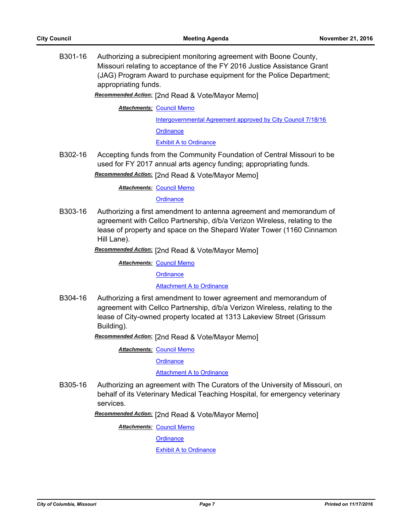B301-16 Authorizing a subrecipient monitoring agreement with Boone County, Missouri relating to acceptance of the FY 2016 Justice Assistance Grant (JAG) Program Award to purchase equipment for the Police Department; appropriating funds.

*Recommended Action:* [2nd Read & Vote/Mayor Memo]

**Attachments: [Council Memo](http://gocolumbiamo.legistar.com/gateway.aspx?M=F&ID=560b372a-ce62-47e0-84a5-04ab49698a36.docx)** 

[Intergovernmental Agreement approved by City Council 7/18/16](http://gocolumbiamo.legistar.com/gateway.aspx?M=F&ID=6bfefd54-2e57-4104-a014-2b7eb4af2414.pdf) **[Ordinance](http://gocolumbiamo.legistar.com/gateway.aspx?M=F&ID=0e3c7c4d-829f-44fb-a031-408759cd062e.doc)** 

[Exhibit A to Ordinance](http://gocolumbiamo.legistar.com/gateway.aspx?M=F&ID=0b081d24-3fe3-4b62-9f22-82dd0de7e2a5.pdf)

B302-16 Accepting funds from the Community Foundation of Central Missouri to be used for FY 2017 annual arts agency funding; appropriating funds. *Recommended Action:* [2nd Read & Vote/Mayor Memo]

**Attachments: [Council Memo](http://gocolumbiamo.legistar.com/gateway.aspx?M=F&ID=80b594dd-6488-4fc8-833f-27a6bfda019c.docx)** 

**[Ordinance](http://gocolumbiamo.legistar.com/gateway.aspx?M=F&ID=4a8d1a95-599b-4267-ba6c-4c136a1c8603.doc)** 

B303-16 Authorizing a first amendment to antenna agreement and memorandum of agreement with Cellco Partnership, d/b/a Verizon Wireless, relating to the lease of property and space on the Shepard Water Tower (1160 Cinnamon Hill Lane).

*Recommended Action:* [2nd Read & Vote/Mayor Memo]

**Attachments: [Council Memo](http://gocolumbiamo.legistar.com/gateway.aspx?M=F&ID=af3b7c63-0577-4f52-8cac-9bbe8f859c64.docx)** 

**[Ordinance](http://gocolumbiamo.legistar.com/gateway.aspx?M=F&ID=33274928-b6a6-4269-9fe1-658b1288d7d6.doc)** 

[Attachment A to Ordinance](http://gocolumbiamo.legistar.com/gateway.aspx?M=F&ID=911ab4d2-1665-4bbf-8de6-d9b98db021fc.pdf)

B304-16 Authorizing a first amendment to tower agreement and memorandum of agreement with Cellco Partnership, d/b/a Verizon Wireless, relating to the lease of City-owned property located at 1313 Lakeview Street (Grissum Building).

*Recommended Action:* [2nd Read & Vote/Mayor Memo]

**Attachments: [Council Memo](http://gocolumbiamo.legistar.com/gateway.aspx?M=F&ID=3146fc1c-27dd-495b-b674-330cf8f830c4.docx)** 

**[Ordinance](http://gocolumbiamo.legistar.com/gateway.aspx?M=F&ID=79d4d45d-d3a8-4bfd-a05c-ec8994b399c4.doc)** 

[Attachment A to Ordinance](http://gocolumbiamo.legistar.com/gateway.aspx?M=F&ID=5d3f70ed-9a84-4134-8e47-ac9d378661bf.pdf)

B305-16 Authorizing an agreement with The Curators of the University of Missouri, on behalf of its Veterinary Medical Teaching Hospital, for emergency veterinary services.

*Recommended Action:* [2nd Read & Vote/Mayor Memo]

**Attachments: [Council Memo](http://gocolumbiamo.legistar.com/gateway.aspx?M=F&ID=aa99eed1-d193-4207-a24d-f95a1c722170.docx)** 

**[Ordinance](http://gocolumbiamo.legistar.com/gateway.aspx?M=F&ID=09b285c3-6341-41ab-a608-0e9ba0203c9c.doc)**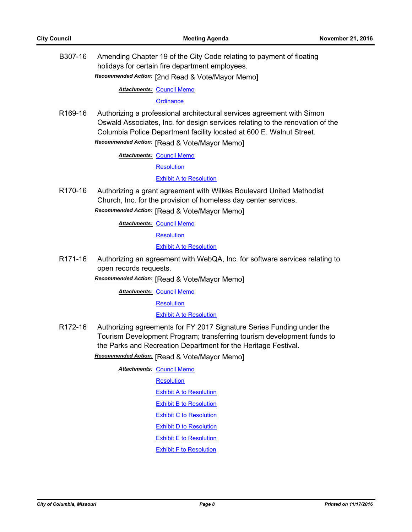B307-16 Amending Chapter 19 of the City Code relating to payment of floating holidays for certain fire department employees.

*Recommended Action:* [2nd Read & Vote/Mayor Memo]

**Attachments: [Council Memo](http://gocolumbiamo.legistar.com/gateway.aspx?M=F&ID=7fd61c2f-0195-401a-b5bc-740267dc5afc.docx)** 

#### **[Ordinance](http://gocolumbiamo.legistar.com/gateway.aspx?M=F&ID=b25902d2-1c2d-4434-b765-1b47acdb9b79.doc)**

R169-16 Authorizing a professional architectural services agreement with Simon Oswald Associates, Inc. for design services relating to the renovation of the Columbia Police Department facility located at 600 E. Walnut Street. *Recommended Action:* [Read & Vote/Mayor Memo]

**Attachments: [Council Memo](http://gocolumbiamo.legistar.com/gateway.aspx?M=F&ID=93156b1b-6c3b-4a9d-917a-035259376d2d.docx)** 

**[Resolution](http://gocolumbiamo.legistar.com/gateway.aspx?M=F&ID=c4a6877a-4fb2-41b4-ba41-ba44a42c5743.doc)** 

[Exhibit A to Resolution](http://gocolumbiamo.legistar.com/gateway.aspx?M=F&ID=f4242760-fa70-42ba-b91f-d9cd47bdf5a0.pdf)

R170-16 Authorizing a grant agreement with Wilkes Boulevard United Methodist Church, Inc. for the provision of homeless day center services.

*Recommended Action:* [Read & Vote/Mayor Memo]

**Attachments: [Council Memo](http://gocolumbiamo.legistar.com/gateway.aspx?M=F&ID=615e6869-0c84-41a1-a456-ce437f45eb8f.docx)** 

**[Resolution](http://gocolumbiamo.legistar.com/gateway.aspx?M=F&ID=8a5e27bc-dd33-4278-af93-73d0748152d6.doc)** 

[Exhibit A to Resolution](http://gocolumbiamo.legistar.com/gateway.aspx?M=F&ID=9994895c-8e88-4f4b-9d29-12f3b73fdbb9.docx)

R171-16 Authorizing an agreement with WebQA, Inc. for software services relating to open records requests.

*Recommended Action:* [Read & Vote/Mayor Memo]

**Attachments: [Council Memo](http://gocolumbiamo.legistar.com/gateway.aspx?M=F&ID=2bd33c45-6458-4210-852b-1a2177c84171.docx)** 

**[Resolution](http://gocolumbiamo.legistar.com/gateway.aspx?M=F&ID=d476696b-0313-4f75-a711-b74d96e131aa.doc)** 

[Exhibit A to Resolution](http://gocolumbiamo.legistar.com/gateway.aspx?M=F&ID=a7b9e796-a952-40df-abbf-3647588843fb.pdf)

R172-16 Authorizing agreements for FY 2017 Signature Series Funding under the Tourism Development Program; transferring tourism development funds to the Parks and Recreation Department for the Heritage Festival.

*Recommended Action:* [Read & Vote/Mayor Memo]

**Attachments: [Council Memo](http://gocolumbiamo.legistar.com/gateway.aspx?M=F&ID=a3fefd56-d586-4067-a9a6-9445ff61ed46.docx)** 

**[Resolution](http://gocolumbiamo.legistar.com/gateway.aspx?M=F&ID=2fdcedd8-cea8-403c-881b-9792ea023c50.doc)** 

[Exhibit A to Resolution](http://gocolumbiamo.legistar.com/gateway.aspx?M=F&ID=407ce259-44b9-42d5-8d44-5ebc81fe7670.doc)

[Exhibit B to Resolution](http://gocolumbiamo.legistar.com/gateway.aspx?M=F&ID=61fa3667-889e-4315-96ed-5dd21c57688f.doc)

[Exhibit C to Resolution](http://gocolumbiamo.legistar.com/gateway.aspx?M=F&ID=91c5a4c3-5cca-45d5-b9ec-fd295b1831ab.doc)

[Exhibit D to Resolution](http://gocolumbiamo.legistar.com/gateway.aspx?M=F&ID=07ead578-dc1f-47ba-a388-511e50fbe6e2.doc)

[Exhibit E to Resolution](http://gocolumbiamo.legistar.com/gateway.aspx?M=F&ID=e95597b1-a882-46dd-9edf-a249de6fcd4b.doc)

[Exhibit F to Resolution](http://gocolumbiamo.legistar.com/gateway.aspx?M=F&ID=7f111a5c-6429-445e-9e1b-1f7bd9ac0530.doc)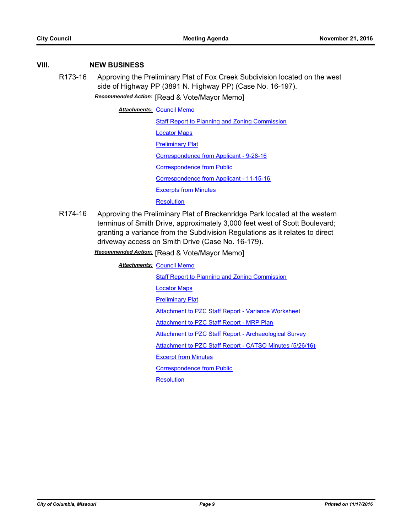### **VIII. NEW BUSINESS**

R173-16 Approving the Preliminary Plat of Fox Creek Subdivision located on the west side of Highway PP (3891 N. Highway PP) (Case No. 16-197). *Recommended Action:* [Read & Vote/Mayor Memo]

**Attachments: [Council Memo](http://gocolumbiamo.legistar.com/gateway.aspx?M=F&ID=198184e7-0a15-4786-8786-4e26041944e5.docx)** 

- [Staff Report to Planning and Zoning Commission](http://gocolumbiamo.legistar.com/gateway.aspx?M=F&ID=30ce2ed7-e37d-4e09-867d-b5bc053632f7.pdf) [Locator Maps](http://gocolumbiamo.legistar.com/gateway.aspx?M=F&ID=2572a395-c178-4682-98fe-250a032d9ef4.pdf) **[Preliminary Plat](http://gocolumbiamo.legistar.com/gateway.aspx?M=F&ID=a8efff91-32e7-4f7b-bc5c-80d13534bb25.pdf)** [Correspondence from Applicant - 9-28-16](http://gocolumbiamo.legistar.com/gateway.aspx?M=F&ID=fc213145-c6ef-4f03-b991-37dc336d0b53.pdf) [Correspondence from Public](http://gocolumbiamo.legistar.com/gateway.aspx?M=F&ID=8d18f3bb-dde8-448c-8d04-b6b61ca67ff3.pdf) [Correspondence from Applicant - 11-15-16](http://gocolumbiamo.legistar.com/gateway.aspx?M=F&ID=de490f46-2e3a-44fe-807a-0f5fd9ca9e55.pdf) [Excerpts from Minutes](http://gocolumbiamo.legistar.com/gateway.aspx?M=F&ID=351b20c9-9ad1-4dac-b359-52f345d23518.docx) **[Resolution](http://gocolumbiamo.legistar.com/gateway.aspx?M=F&ID=90e4da11-e663-4420-9316-d9a7ad8859c4.doc)**
- R174-16 Approving the Preliminary Plat of Breckenridge Park located at the western terminus of Smith Drive, approximately 3,000 feet west of Scott Boulevard; granting a variance from the Subdivision Regulations as it relates to direct driveway access on Smith Drive (Case No. 16-179).

*Recommended Action:* [Read & Vote/Mayor Memo]

**Attachments: [Council Memo](http://gocolumbiamo.legistar.com/gateway.aspx?M=F&ID=3abbbfbc-a1d4-475e-b4bf-d0c37d8eb822.docx) [Staff Report to Planning and Zoning Commission](http://gocolumbiamo.legistar.com/gateway.aspx?M=F&ID=db7f6e84-fa99-4d06-a534-6fc6814e0e61.pdf)** [Locator Maps](http://gocolumbiamo.legistar.com/gateway.aspx?M=F&ID=7a68033d-e15f-4a81-a7cd-3e196afb7a51.pdf) **[Preliminary Plat](http://gocolumbiamo.legistar.com/gateway.aspx?M=F&ID=9013284b-831b-418c-8ec8-5655143f20bf.pdf)** [Attachment to PZC Staff Report - Variance Worksheet](http://gocolumbiamo.legistar.com/gateway.aspx?M=F&ID=456f5ee8-463a-4aee-a024-6318bd69a45b.pdf) **[Attachment to PZC Staff Report - MRP Plan](http://gocolumbiamo.legistar.com/gateway.aspx?M=F&ID=6a9975a2-5288-4f83-a799-ce198274d91e.pdf)** [Attachment to PZC Staff Report - Archaeological Survey](http://gocolumbiamo.legistar.com/gateway.aspx?M=F&ID=667df746-fa79-4c5c-87c4-b7f0d78389bb.pdf) [Attachment to PZC Staff Report - CATSO Minutes \(5/26/16\)](http://gocolumbiamo.legistar.com/gateway.aspx?M=F&ID=cea5f606-5592-4405-8a5c-b0ca969ceecb.pdf) [Excerpt from Minutes](http://gocolumbiamo.legistar.com/gateway.aspx?M=F&ID=baff6450-83e6-42cb-b389-74fa80c5280b.docx) [Correspondence from Public](http://gocolumbiamo.legistar.com/gateway.aspx?M=F&ID=c97f7a57-7251-4e43-83b3-3e68c8774698.pdf) **[Resolution](http://gocolumbiamo.legistar.com/gateway.aspx?M=F&ID=10c9a263-9b51-427e-bb75-b7df1bdf9401.doc)**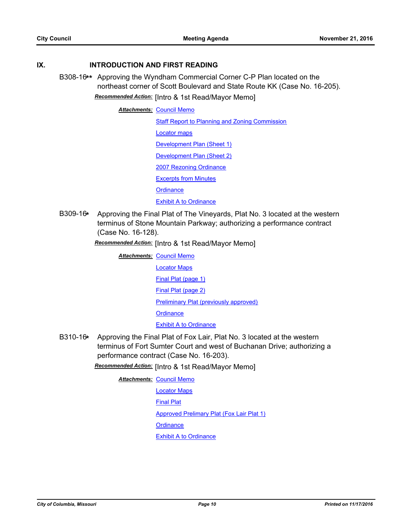#### **IX. INTRODUCTION AND FIRST READING**

B308-16**\*\*** Approving the Wyndham Commercial Corner C-P Plan located on the northeast corner of Scott Boulevard and State Route KK (Case No. 16-205). *Recommended Action:* [Intro & 1st Read/Mayor Memo]

**Attachments: [Council Memo](http://gocolumbiamo.legistar.com/gateway.aspx?M=F&ID=95f503e5-f5c7-459e-b3fc-c0ccd2d70c1c.docx)** 

**[Staff Report to Planning and Zoning Commission](http://gocolumbiamo.legistar.com/gateway.aspx?M=F&ID=9f72fbfa-dbb0-458b-b5b5-37d8ec1f5e2e.pdf)** [Locator maps](http://gocolumbiamo.legistar.com/gateway.aspx?M=F&ID=62c7a0bc-7cf8-44ee-9351-910445ef045b.pdf) [Development Plan \(Sheet 1\)](http://gocolumbiamo.legistar.com/gateway.aspx?M=F&ID=0017fdc6-be27-4987-a229-6e898fdd7b87.pdf) [Development Plan \(Sheet 2\)](http://gocolumbiamo.legistar.com/gateway.aspx?M=F&ID=9c97caa1-6018-4a8e-9e2e-b6db0d9dfbf6.pdf) [2007 Rezoning Ordinance](http://gocolumbiamo.legistar.com/gateway.aspx?M=F&ID=3b5ca41f-4166-474e-a96c-f23751f5b39b.pdf) [Excerpts from Minutes](http://gocolumbiamo.legistar.com/gateway.aspx?M=F&ID=f1ede470-103a-4538-b52f-ac711bae1985.docx) **[Ordinance](http://gocolumbiamo.legistar.com/gateway.aspx?M=F&ID=48970e68-713e-48a3-be98-f128e617a66f.doc) [Exhibit A to Ordinance](http://gocolumbiamo.legistar.com/gateway.aspx?M=F&ID=fb653408-0604-4179-a925-a66ae994aab8.pdf)** 

B309-16**\*** Approving the Final Plat of The Vineyards, Plat No. 3 located at the western terminus of Stone Mountain Parkway; authorizing a performance contract (Case No. 16-128).

*Recommended Action:* [Intro & 1st Read/Mayor Memo]

| <b>Attachments: Council Memo</b>       |  |
|----------------------------------------|--|
| <b>Locator Maps</b>                    |  |
| Final Plat (page 1)                    |  |
| Final Plat (page 2)                    |  |
| Preliminary Plat (previously approved) |  |
| Ordinance                              |  |
| <b>Exhibit A to Ordinance</b>          |  |

B310-16**\*** Approving the Final Plat of Fox Lair, Plat No. 3 located at the western terminus of Fort Sumter Court and west of Buchanan Drive; authorizing a performance contract (Case No. 16-203).

*Recommended Action:* [Intro & 1st Read/Mayor Memo]

**Attachments: [Council Memo](http://gocolumbiamo.legistar.com/gateway.aspx?M=F&ID=b2506edb-61a9-4e61-ac9a-a76f9602fafd.docx)** 

[Locator Maps](http://gocolumbiamo.legistar.com/gateway.aspx?M=F&ID=209ac530-306f-4d87-be33-241eccee83e7.pdf) [Final Plat](http://gocolumbiamo.legistar.com/gateway.aspx?M=F&ID=492e0d35-0dce-4ef0-91d1-81ff946d10a5.pdf) [Approved Prelimary Plat \(Fox Lair Plat 1\)](http://gocolumbiamo.legistar.com/gateway.aspx?M=F&ID=5c5c3c2e-ccf0-4f47-8785-de686b1f3548.pdf) **[Ordinance](http://gocolumbiamo.legistar.com/gateway.aspx?M=F&ID=a288e472-6e23-4ce0-914e-e87b44427455.doc)** [Exhibit A to Ordinance](http://gocolumbiamo.legistar.com/gateway.aspx?M=F&ID=26de08bf-4f2d-4599-bccb-01e1ce87c514.pdf)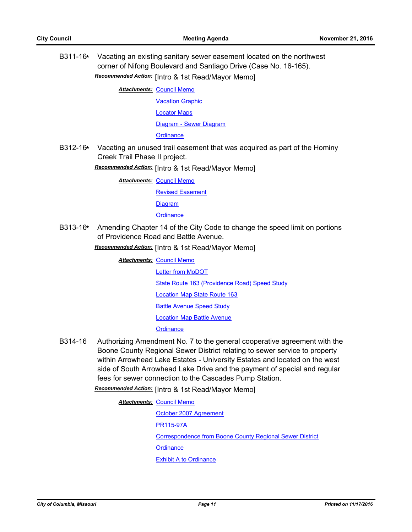B311-16**\*** Vacating an existing sanitary sewer easement located on the northwest corner of Nifong Boulevard and Santiago Drive (Case No. 16-165). *Recommended Action:* [Intro & 1st Read/Mayor Memo]

**Attachments: [Council Memo](http://gocolumbiamo.legistar.com/gateway.aspx?M=F&ID=54a05e63-4fda-4911-a750-996a03d4bc7e.docx)** 

[Vacation Graphic](http://gocolumbiamo.legistar.com/gateway.aspx?M=F&ID=4cca7aef-efcd-40e3-9dcb-e7495b71bf37.pdf)

[Locator Maps](http://gocolumbiamo.legistar.com/gateway.aspx?M=F&ID=b1275f99-e459-4608-8368-c712bf26c245.pdf)

[Diagram - Sewer Diagram](http://gocolumbiamo.legistar.com/gateway.aspx?M=F&ID=f5513f4c-0672-4a1c-bf54-0c4783970ac7.pdf)

**[Ordinance](http://gocolumbiamo.legistar.com/gateway.aspx?M=F&ID=a1a86360-5f7a-4ed8-96a6-ca733996ba22.doc)** 

B312-16**\*** Vacating an unused trail easement that was acquired as part of the Hominy Creek Trail Phase II project.

*Recommended Action:* [Intro & 1st Read/Mayor Memo]

**Attachments: [Council Memo](http://gocolumbiamo.legistar.com/gateway.aspx?M=F&ID=ecd7884e-07d5-48de-ad4a-f25e758fe3cd.docx)** 

[Revised Easement](http://gocolumbiamo.legistar.com/gateway.aspx?M=F&ID=bf23ffc7-01b6-48be-b46e-d89889a0343b.pdf)

**[Diagram](http://gocolumbiamo.legistar.com/gateway.aspx?M=F&ID=1c13542b-9f62-4f03-a359-501c8e7798bc.pdf)** 

#### **[Ordinance](http://gocolumbiamo.legistar.com/gateway.aspx?M=F&ID=0c4cc1ae-8555-4942-a9af-6c02acf2d4f9.doc)**

B313-16**\*** Amending Chapter 14 of the City Code to change the speed limit on portions of Providence Road and Battle Avenue.

*Recommended Action:* [Intro & 1st Read/Mayor Memo]

- **Attachments: [Council Memo](http://gocolumbiamo.legistar.com/gateway.aspx?M=F&ID=0ddf1b16-0077-4802-b3d1-a25ac3bc7638.docx)** [Letter from MoDOT](http://gocolumbiamo.legistar.com/gateway.aspx?M=F&ID=dda153fa-4d64-47b7-82cb-bc88142aff71.pdf) [State Route 163 \(Providence Road\) Speed Study](http://gocolumbiamo.legistar.com/gateway.aspx?M=F&ID=2bad15c2-8437-4fa7-9385-cbef33c7c646.pdf) [Location Map State Route 163](http://gocolumbiamo.legistar.com/gateway.aspx?M=F&ID=302b58db-eb43-4b92-aca7-fc2857d454c1.pdf) [Battle Avenue Speed Study](http://gocolumbiamo.legistar.com/gateway.aspx?M=F&ID=9f216e39-4ab1-4173-967f-1629cdda942c.pdf) [Location Map Battle Avenue](http://gocolumbiamo.legistar.com/gateway.aspx?M=F&ID=b9188664-dc29-4b45-9e41-c6de41922daa.pdf) **[Ordinance](http://gocolumbiamo.legistar.com/gateway.aspx?M=F&ID=ea4de342-e0a2-44a4-adb8-0b71fdcc9823.doc)**
- B314-16 Authorizing Amendment No. 7 to the general cooperative agreement with the Boone County Regional Sewer District relating to sewer service to property within Arrowhead Lake Estates - University Estates and located on the west side of South Arrowhead Lake Drive and the payment of special and regular fees for sewer connection to the Cascades Pump Station.

*Recommended Action:* [Intro & 1st Read/Mayor Memo]

**Attachments: [Council Memo](http://gocolumbiamo.legistar.com/gateway.aspx?M=F&ID=1666deb0-938a-4600-9084-809430faf09f.docx)** 

[October 2007 Agreement](http://gocolumbiamo.legistar.com/gateway.aspx?M=F&ID=8a6e2106-32c8-4ce4-bfec-130ac6263711.pdf) [PR115-97A](http://gocolumbiamo.legistar.com/gateway.aspx?M=F&ID=9ed17604-7f18-44ce-bab2-21d608d4e8fb.pdf) [Correspondence from Boone County Regional Sewer District](http://gocolumbiamo.legistar.com/gateway.aspx?M=F&ID=fcffbf1a-481f-45ee-80a1-01c0a05cd804.pdf) **[Ordinance](http://gocolumbiamo.legistar.com/gateway.aspx?M=F&ID=fbc34e1b-86a8-48d3-a9e4-a6ae911498a2.doc)** [Exhibit A to Ordinance](http://gocolumbiamo.legistar.com/gateway.aspx?M=F&ID=0d054c6a-b7d0-41b4-9c74-2b85250a4fdc.pdf)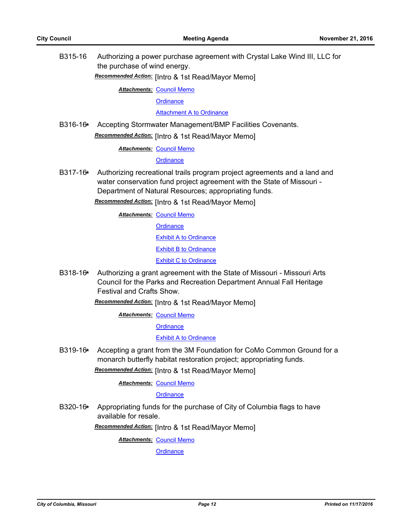B315-16 Authorizing a power purchase agreement with Crystal Lake Wind III, LLC for the purchase of wind energy.

*Recommended Action:* [Intro & 1st Read/Mayor Memo]

**Attachments: [Council Memo](http://gocolumbiamo.legistar.com/gateway.aspx?M=F&ID=c9602d2c-8d73-42f0-8add-eb94ebc5a5ff.docx)** 

**[Ordinance](http://gocolumbiamo.legistar.com/gateway.aspx?M=F&ID=849b7d3c-75a3-4b87-a2cc-684f00beb8ee.doc)** 

[Attachment A to Ordinance](http://gocolumbiamo.legistar.com/gateway.aspx?M=F&ID=d48486c9-8ab9-4ea8-a08e-60df476bec82.pdf)

B316-16**\*** Accepting Stormwater Management/BMP Facilities Covenants. *Recommended Action:* [Intro & 1st Read/Mayor Memo]

**Attachments: [Council Memo](http://gocolumbiamo.legistar.com/gateway.aspx?M=F&ID=60eb11f9-0f0f-4ed9-b679-f81bc943e494.docx)** 

**[Ordinance](http://gocolumbiamo.legistar.com/gateway.aspx?M=F&ID=22bd7793-6570-4324-a3b5-4fef8ab975c5.doc)** 

B317-16**\*** Authorizing recreational trails program project agreements and a land and water conservation fund project agreement with the State of Missouri - Department of Natural Resources; appropriating funds.

*Recommended Action:* [Intro & 1st Read/Mayor Memo]

**Attachments: [Council Memo](http://gocolumbiamo.legistar.com/gateway.aspx?M=F&ID=f22d1326-602a-47aa-9a3c-ea8e988ba75f.docx)** 

**[Ordinance](http://gocolumbiamo.legistar.com/gateway.aspx?M=F&ID=d0765f4a-326d-4568-a8e5-84004bdc5bde.doc)** [Exhibit A to Ordinance](http://gocolumbiamo.legistar.com/gateway.aspx?M=F&ID=0a00e9bd-e5c9-4892-b8c5-f6b1d0a24cb9.pdf) [Exhibit B to Ordinance](http://gocolumbiamo.legistar.com/gateway.aspx?M=F&ID=1c899d64-c2ca-4976-b719-b20a75c91262.pdf) [Exhibit C to Ordinance](http://gocolumbiamo.legistar.com/gateway.aspx?M=F&ID=d6368917-c1a1-4746-87c6-ae4315951a3d.pdf)

B318-16**\*** Authorizing a grant agreement with the State of Missouri - Missouri Arts Council for the Parks and Recreation Department Annual Fall Heritage Festival and Crafts Show.

*Recommended Action:* [Intro & 1st Read/Mayor Memo]

**Attachments: [Council Memo](http://gocolumbiamo.legistar.com/gateway.aspx?M=F&ID=95bbd0fb-594f-4749-8354-e46b7dfb3f76.docx)** 

**[Ordinance](http://gocolumbiamo.legistar.com/gateway.aspx?M=F&ID=d4ee22e5-bb44-4cf3-9e41-7d750707318e.doc)** 

[Exhibit A to Ordinance](http://gocolumbiamo.legistar.com/gateway.aspx?M=F&ID=4ce47219-3bc7-4748-a17c-77f7240f0254.pdf)

B319-16**\*** Accepting a grant from the 3M Foundation for CoMo Common Ground for a monarch butterfly habitat restoration project; appropriating funds.

*Recommended Action:* [Intro & 1st Read/Mayor Memo]

**Attachments: [Council Memo](http://gocolumbiamo.legistar.com/gateway.aspx?M=F&ID=9b171205-6027-474f-93b3-698d85c37af3.docx)** 

**[Ordinance](http://gocolumbiamo.legistar.com/gateway.aspx?M=F&ID=1acc68cc-2af7-4fbd-9f6b-2f2ad0e59325.doc)** 

B320-16**\*** Appropriating funds for the purchase of City of Columbia flags to have available for resale.

*Recommended Action:* [Intro & 1st Read/Mayor Memo]

**Attachments: [Council Memo](http://gocolumbiamo.legistar.com/gateway.aspx?M=F&ID=4b8d03d6-4340-49da-8b27-4b67a79a8fc2.docx)** 

**[Ordinance](http://gocolumbiamo.legistar.com/gateway.aspx?M=F&ID=e216968d-1955-4c88-9f51-0297d6c5b327.doc)**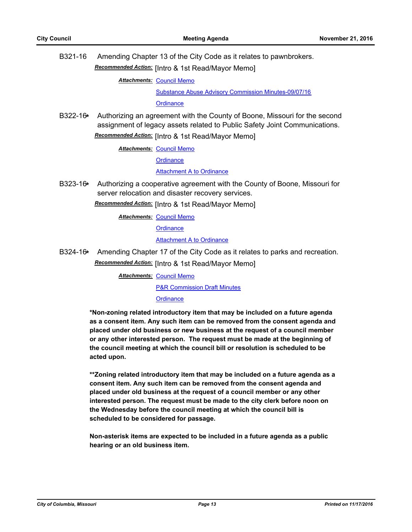B321-16 Amending Chapter 13 of the City Code as it relates to pawnbrokers. *Recommended Action:* [Intro & 1st Read/Mayor Memo]

**Attachments: [Council Memo](http://gocolumbiamo.legistar.com/gateway.aspx?M=F&ID=6d1875e4-34d9-4e19-bd06-7362135ffec0.docx)** 

[Substance Abuse Advisory Commission Minutes-09/07/16](http://gocolumbiamo.legistar.com/gateway.aspx?M=F&ID=2a773780-e7d1-417e-b89f-0171595db451.pdf) **[Ordinance](http://gocolumbiamo.legistar.com/gateway.aspx?M=F&ID=354e35ed-d6f2-41ac-95be-3217d2fb016d.doc)** 

B322-16**\*** Authorizing an agreement with the County of Boone, Missouri for the second assignment of legacy assets related to Public Safety Joint Communications. *Recommended Action:* [Intro & 1st Read/Mayor Memo]

**Attachments: [Council Memo](http://gocolumbiamo.legistar.com/gateway.aspx?M=F&ID=71209ba6-f97c-4e24-a5d9-8c870734e08b.docx)** 

**[Ordinance](http://gocolumbiamo.legistar.com/gateway.aspx?M=F&ID=1fb3692a-879e-4b2e-b0b3-408247451bfd.doc)** 

[Attachment A to Ordinance](http://gocolumbiamo.legistar.com/gateway.aspx?M=F&ID=1071e26a-e485-428d-a2eb-a3baa72ec6d2.pdf)

B323-16**\*** Authorizing a cooperative agreement with the County of Boone, Missouri for server relocation and disaster recovery services.

*Recommended Action:* [Intro & 1st Read/Mayor Memo]

**Attachments: [Council Memo](http://gocolumbiamo.legistar.com/gateway.aspx?M=F&ID=6dbd7a76-f879-41d9-95f2-c92c449dc0cc.docx)** 

**[Ordinance](http://gocolumbiamo.legistar.com/gateway.aspx?M=F&ID=2bc9ac62-ac2c-4ee0-ab54-80eaa8f7534c.doc)** 

[Attachment A to Ordinance](http://gocolumbiamo.legistar.com/gateway.aspx?M=F&ID=5920046c-69c0-4be1-b82e-4b1072166d0c.pdf)

B324-16**\*** Amending Chapter 17 of the City Code as it relates to parks and recreation. *Recommended Action:* [Intro & 1st Read/Mayor Memo]

**Attachments: [Council Memo](http://gocolumbiamo.legistar.com/gateway.aspx?M=F&ID=d030dd17-40a8-4ded-a347-dec4796c635f.docx)** 

[P&R Commission Draft Minutes](http://gocolumbiamo.legistar.com/gateway.aspx?M=F&ID=676f4aca-3846-46cf-afb8-f9db1f72c0aa.docx)

**[Ordinance](http://gocolumbiamo.legistar.com/gateway.aspx?M=F&ID=dcb74b7b-bc97-42fa-bd04-6291651b5545.doc)** 

**\*Non-zoning related introductory item that may be included on a future agenda as a consent item. Any such item can be removed from the consent agenda and placed under old business or new business at the request of a council member or any other interested person. The request must be made at the beginning of the council meeting at which the council bill or resolution is scheduled to be acted upon.** 

**\*\*Zoning related introductory item that may be included on a future agenda as a consent item. Any such item can be removed from the consent agenda and placed under old business at the request of a council member or any other interested person. The request must be made to the city clerk before noon on the Wednesday before the council meeting at which the council bill is scheduled to be considered for passage.**

**Non-asterisk items are expected to be included in a future agenda as a public hearing or an old business item.**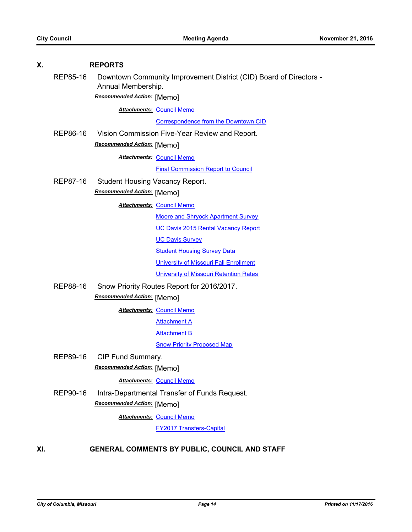| Χ.  |                                                        | <b>REPORTS</b>             |                                                                    |  |
|-----|--------------------------------------------------------|----------------------------|--------------------------------------------------------------------|--|
|     | REP85-16                                               | Annual Membership.         | Downtown Community Improvement District (CID) Board of Directors - |  |
|     |                                                        | Recommended Action: [Memo] |                                                                    |  |
|     |                                                        |                            | <b>Attachments: Council Memo</b>                                   |  |
|     |                                                        |                            | Correspondence from the Downtown CID                               |  |
|     | REP86-16                                               |                            | Vision Commission Five-Year Review and Report.                     |  |
|     |                                                        | Recommended Action: [Memo] |                                                                    |  |
|     |                                                        |                            | <b>Attachments: Council Memo</b>                                   |  |
|     |                                                        |                            | <b>Final Commission Report to Council</b>                          |  |
|     | REP87-16<br><b>Student Housing Vacancy Report.</b>     |                            |                                                                    |  |
|     |                                                        | Recommended Action: [Memo] |                                                                    |  |
|     |                                                        |                            | <b>Attachments: Council Memo</b>                                   |  |
|     |                                                        |                            | <b>Moore and Shryock Apartment Survey</b>                          |  |
|     |                                                        |                            | <b>UC Davis 2015 Rental Vacancy Report</b>                         |  |
|     |                                                        |                            | <b>UC Davis Survey</b>                                             |  |
|     |                                                        |                            | <b>Student Housing Survey Data</b>                                 |  |
|     |                                                        |                            | <b>University of Missouri Fall Enrollment</b>                      |  |
|     |                                                        |                            | University of Missouri Retention Rates                             |  |
|     | REP88-16<br>Snow Priority Routes Report for 2016/2017. |                            |                                                                    |  |
|     | Recommended Action: [Memo]                             |                            |                                                                    |  |
|     |                                                        |                            | <b>Attachments: Council Memo</b>                                   |  |
|     |                                                        |                            | <b>Attachment A</b>                                                |  |
|     |                                                        |                            | <b>Attachment B</b>                                                |  |
|     |                                                        |                            | <b>Snow Priority Proposed Map</b>                                  |  |
|     | REP89-16                                               | CIP Fund Summary.          |                                                                    |  |
|     |                                                        | Recommended Action: [Memo] |                                                                    |  |
|     |                                                        |                            | <b>Attachments: Council Memo</b>                                   |  |
|     | REP90-16                                               |                            | Intra-Departmental Transfer of Funds Request.                      |  |
|     |                                                        | Recommended Action: [Memo] |                                                                    |  |
|     |                                                        |                            | <b>Attachments: Council Memo</b>                                   |  |
|     |                                                        |                            | <b>FY2017 Transfers-Capital</b>                                    |  |
| XI. |                                                        |                            | GENERAL COMMENTS BY PUBLIC, COUNCIL AND STAFF                      |  |